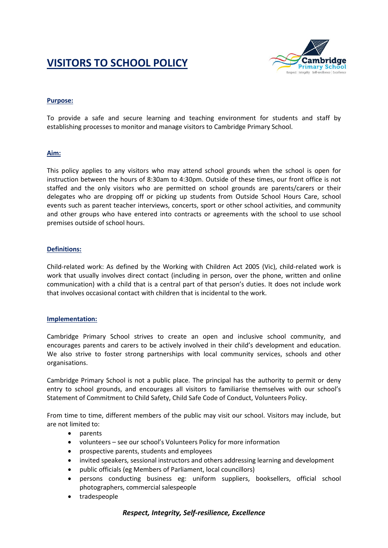# **VISITORS TO SCHOOL POLICY**



## **Purpose:**

To provide a safe and secure learning and teaching environment for students and staff by establishing processes to monitor and manage visitors to Cambridge Primary School.

## **Aim:**

This policy applies to any visitors who may attend school grounds when the school is open for instruction between the hours of 8:30am to 4:30pm. Outside of these times, our front office is not staffed and the only visitors who are permitted on school grounds are parents/carers or their delegates who are dropping off or picking up students from Outside School Hours Care, school events such as parent teacher interviews, concerts, sport or other school activities, and community and other groups who have entered into contracts or agreements with the school to use school premises outside of school hours.

## **Definitions:**

Child-related work: As defined by the Working with Children Act 2005 (Vic), child-related work is work that usually involves direct contact (including in person, over the phone, written and online communication) with a child that is a central part of that person's duties. It does not include work that involves occasional contact with children that is incidental to the work.

## **Implementation:**

Cambridge Primary School strives to create an open and inclusive school community, and encourages parents and carers to be actively involved in their child's development and education. We also strive to foster strong partnerships with local community services, schools and other organisations.

Cambridge Primary School is not a public place. The principal has the authority to permit or deny entry to school grounds, and encourages all visitors to familiarise themselves with our school's Statement of Commitment to Child Safety, Child Safe Code of Conduct, Volunteers Policy.

From time to time, different members of the public may visit our school. Visitors may include, but are not limited to:

- parents
- volunteers see our school's Volunteers Policy for more information
- prospective parents, students and employees
- invited speakers, sessional instructors and others addressing learning and development
- public officials (eg Members of Parliament, local councillors)
- persons conducting business eg: uniform suppliers, booksellers, official school photographers, commercial salespeople
- tradespeople

# *Respect, Integrity, Self-resilience, Excellence*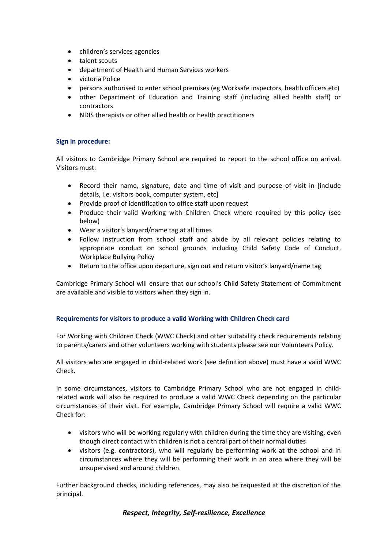- children's services agencies
- talent scouts
- department of Health and Human Services workers
- victoria Police
- persons authorised to enter school premises (eg Worksafe inspectors, health officers etc)
- other Department of Education and Training staff (including allied health staff) or contractors
- NDIS therapists or other allied health or health practitioners

# **Sign in procedure:**

All visitors to Cambridge Primary School are required to report to the school office on arrival. Visitors must:

- Record their name, signature, date and time of visit and purpose of visit in [include details, i.e. visitors book, computer system, etc]
- Provide proof of identification to office staff upon request
- Produce their valid Working with Children Check where required by this policy (see below)
- Wear a visitor's lanyard/name tag at all times
- Follow instruction from school staff and abide by all relevant policies relating to appropriate conduct on school grounds including Child Safety Code of Conduct, Workplace Bullying Policy
- Return to the office upon departure, sign out and return visitor's lanyard/name tag

Cambridge Primary School will ensure that our school's Child Safety Statement of Commitment are available and visible to visitors when they sign in.

# **Requirements for visitors to produce a valid Working with Children Check card**

For Working with Children Check (WWC Check) and other suitability check requirements relating to parents/carers and other volunteers working with students please see our Volunteers Policy.

All visitors who are engaged in child-related work (see definition above) must have a valid WWC Check.

In some circumstances, visitors to Cambridge Primary School who are not engaged in childrelated work will also be required to produce a valid WWC Check depending on the particular circumstances of their visit. For example, Cambridge Primary School will require a valid WWC Check for:

- visitors who will be working regularly with children during the time they are visiting, even though direct contact with children is not a central part of their normal duties
- visitors (e.g. contractors), who will regularly be performing work at the school and in circumstances where they will be performing their work in an area where they will be unsupervised and around children.

Further background checks, including references, may also be requested at the discretion of the principal.

# *Respect, Integrity, Self-resilience, Excellence*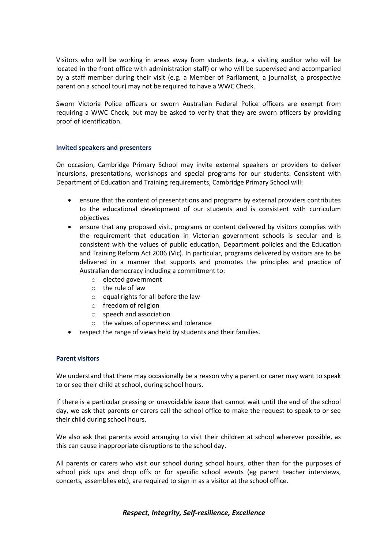Visitors who will be working in areas away from students (e.g. a visiting auditor who will be located in the front office with administration staff) or who will be supervised and accompanied by a staff member during their visit (e.g. a Member of Parliament, a journalist, a prospective parent on a school tour) may not be required to have a WWC Check.

Sworn Victoria Police officers or sworn Australian Federal Police officers are exempt from requiring a WWC Check, but may be asked to verify that they are sworn officers by providing proof of identification.

#### **Invited speakers and presenters**

On occasion, Cambridge Primary School may invite external speakers or providers to deliver incursions, presentations, workshops and special programs for our students. Consistent with Department of Education and Training requirements, Cambridge Primary School will:

- ensure that the content of presentations and programs by external providers contributes to the educational development of our students and is consistent with curriculum objectives
- ensure that any proposed visit, programs or content delivered by visitors complies with the requirement that education in Victorian government schools is secular and is consistent with the values of public education, Department policies and the Education and Training Reform Act 2006 (Vic). In particular, programs delivered by visitors are to be delivered in a manner that supports and promotes the principles and practice of Australian democracy including a commitment to:
	- o elected government
	- o the rule of law
	- $\circ$  equal rights for all before the law
	- o freedom of religion
	- o speech and association
	- o the values of openness and tolerance
- respect the range of views held by students and their families.

#### **Parent visitors**

We understand that there may occasionally be a reason why a parent or carer may want to speak to or see their child at school, during school hours.

If there is a particular pressing or unavoidable issue that cannot wait until the end of the school day, we ask that parents or carers call the school office to make the request to speak to or see their child during school hours.

We also ask that parents avoid arranging to visit their children at school wherever possible, as this can cause inappropriate disruptions to the school day.

All parents or carers who visit our school during school hours, other than for the purposes of school pick ups and drop offs or for specific school events (eg parent teacher interviews, concerts, assemblies etc), are required to sign in as a visitor at the school office.